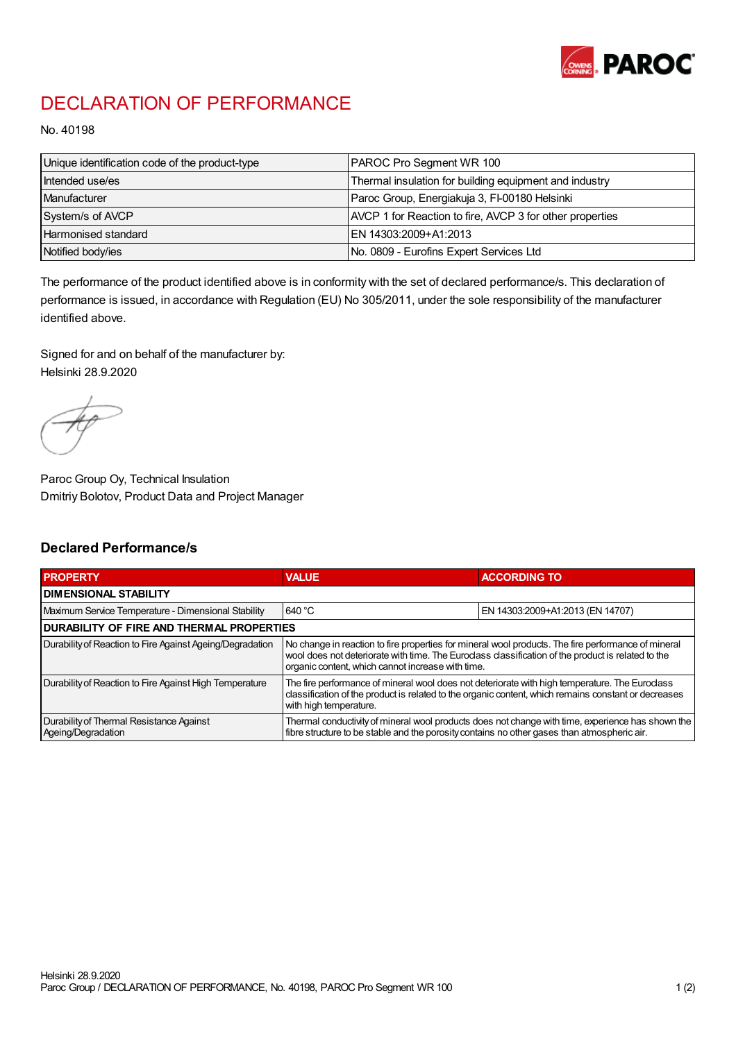

## DECLARATION OF PERFORMANCE

No. 40198

| Unique identification code of the product-type | <b>PAROC Pro Segment WR 100</b>                          |
|------------------------------------------------|----------------------------------------------------------|
| Intended use/es                                | Thermal insulation for building equipment and industry   |
| Manufacturer                                   | Paroc Group, Energiakuja 3, FI-00180 Helsinki            |
| System/s of AVCP                               | AVCP 1 for Reaction to fire, AVCP 3 for other properties |
| Harmonised standard                            | IEN 14303:2009+A1:2013                                   |
| Notified body/ies                              | No. 0809 - Eurofins Expert Services Ltd                  |

The performance of the product identified above is in conformity with the set of declared performance/s. This declaration of performance is issued, in accordance with Regulation (EU) No 305/2011, under the sole responsibility of the manufacturer identified above.

Signed for and on behalf of the manufacturer by: Helsinki 28.9.2020

Paroc Group Oy, Technical Insulation Dmitriy Bolotov, Product Data and Project Manager

## Declared Performance/s

| <b>PROPERTY</b>                                                | <b>VALUE</b>                                                                                                                                                                                                                                                   | <b>ACCORDING TO.</b>             |  |
|----------------------------------------------------------------|----------------------------------------------------------------------------------------------------------------------------------------------------------------------------------------------------------------------------------------------------------------|----------------------------------|--|
| <b>DIMENSIONAL STABILITY</b>                                   |                                                                                                                                                                                                                                                                |                                  |  |
| Maximum Service Temperature - Dimensional Stability            | 640 °C                                                                                                                                                                                                                                                         | EN 14303:2009+A1:2013 (EN 14707) |  |
| <b>DURABILITY OF FIRE AND THERMAL PROPERTIES</b>               |                                                                                                                                                                                                                                                                |                                  |  |
| Durability of Reaction to Fire Against Ageing/Degradation      | No change in reaction to fire properties for mineral wool products. The fire performance of mineral<br>wool does not deteriorate with time. The Euroclass classification of the product is related to the<br>organic content, which cannot increase with time. |                                  |  |
| Durability of Reaction to Fire Against High Temperature        | The fire performance of mineral wool does not deteriorate with high temperature. The Euroclass<br>classification of the product is related to the organic content, which remains constant or decreases<br>with high temperature.                               |                                  |  |
| Durability of Thermal Resistance Against<br>Ageing/Degradation | Thermal conductivity of mineral wool products does not change with time, experience has shown the<br>fibre structure to be stable and the porosity contains no other gases than atmospheric air.                                                               |                                  |  |